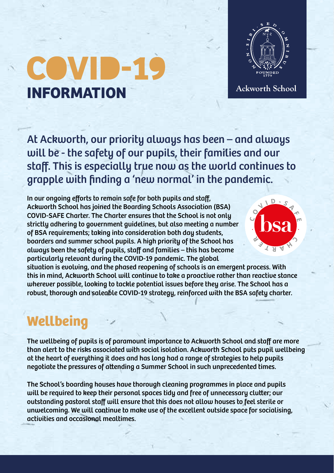## COVID-**INFORMATION**



Ackworth School

At Ackworth, our priority always has been – and always will be - the safety of our pupils, their families and our staff. This is especially true now as the world continues to grapple with finding a 'new normal' in the pandemic.

In our ongoing efforts to remain safe for both pupils and staff, Ackworth School has joined the Boarding Schools Association (BSA) COVID-SAFE Charter. The Charter ensures that the School is not only strictly adhering to government guidelines, but also meeting a number of BSA requirements; taking into consideration both day students, boarders and summer school pupils. A high priority of the School has always been the safety of pupils, staff and families – this has become particularly relevant during the COVID-19 pandemic. The global



situation is evolving, and the phased reopening of schools is an emergent process. With this in mind, Ackworth School will continue to take a proactive rather than reactive stance wherever possible, looking to tackle potential issues before they arise. The School has a robust, thorough and saleable COVID-19 strategy, reinforced with the BSA safety charter.

## **Wellbeing**

The wellbeing of pupils is of paramount importance to Ackworth School and staff are more than alert to the risks associated with social isolation. Ackworth School puts pupil wellbeing at the heart of everything it does and has long had a range of strategies to help pupils negotiate the pressures of attending a Summer School in such unprecedented times.

The School's boarding houses have thorough cleaning programmes in place and pupils will be required to keep their personal spaces tidy and free of unnecessary clutter; our outstanding pastoral staff will ensure that this does not allow houses to feel sterile or unwelcoming. We will continue to make use of the excellent outside space for socialising, activities and occasional mealtimes.